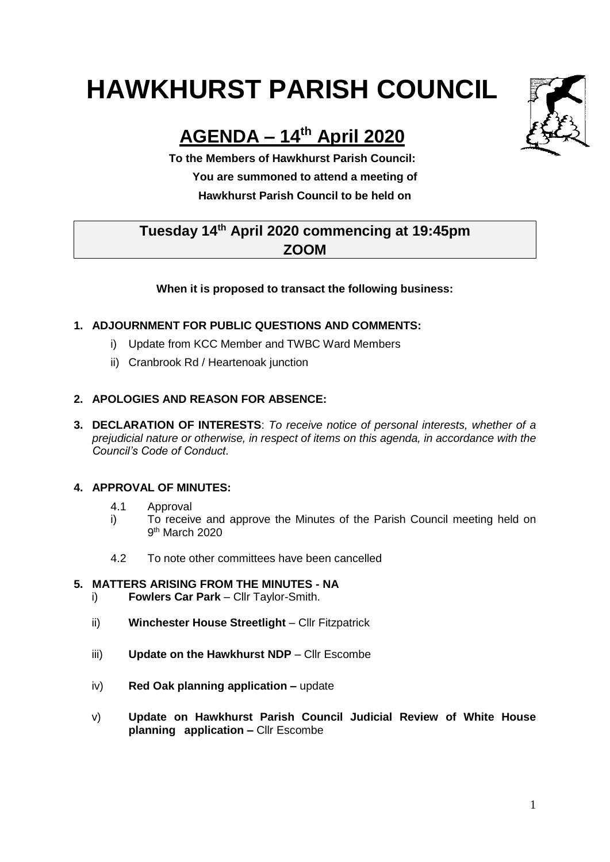# **HAWKHURST PARISH COUNCIL**

# **AGENDA – 14th April 2020**

**To the Members of Hawkhurst Parish Council: You are summoned to attend a meeting of Hawkhurst Parish Council to be held on**

## **Tuesday 14 th April 2020 commencing at 19:45pm ZOOM**

#### **When it is proposed to transact the following business:**

#### **1. ADJOURNMENT FOR PUBLIC QUESTIONS AND COMMENTS:**

- i) Update from KCC Member and TWBC Ward Members
- ii) Cranbrook Rd / Heartenoak junction

#### **2. APOLOGIES AND REASON FOR ABSENCE:**

**3. DECLARATION OF INTERESTS**: *To receive notice of personal interests, whether of a prejudicial nature or otherwise, in respect of items on this agenda, in accordance with the Council's Code of Conduct.*

#### **4. APPROVAL OF MINUTES:**

- 4.1 Approval
- i) To receive and approve the Minutes of the Parish Council meeting held on 9<sup>th</sup> March 2020
- 4.2 To note other committees have been cancelled

#### **5. MATTERS ARISING FROM THE MINUTES - NA**

- i) **Fowlers Car Park** Cllr Taylor-Smith.
- ii) **Winchester House Streetlight** Cllr Fitzpatrick
- iii) Update on the Hawkhurst NDP Cllr Escombe
- iv) **Red Oak planning application –** update
- v) **Update on Hawkhurst Parish Council Judicial Review of White House planning application –** Cllr Escombe

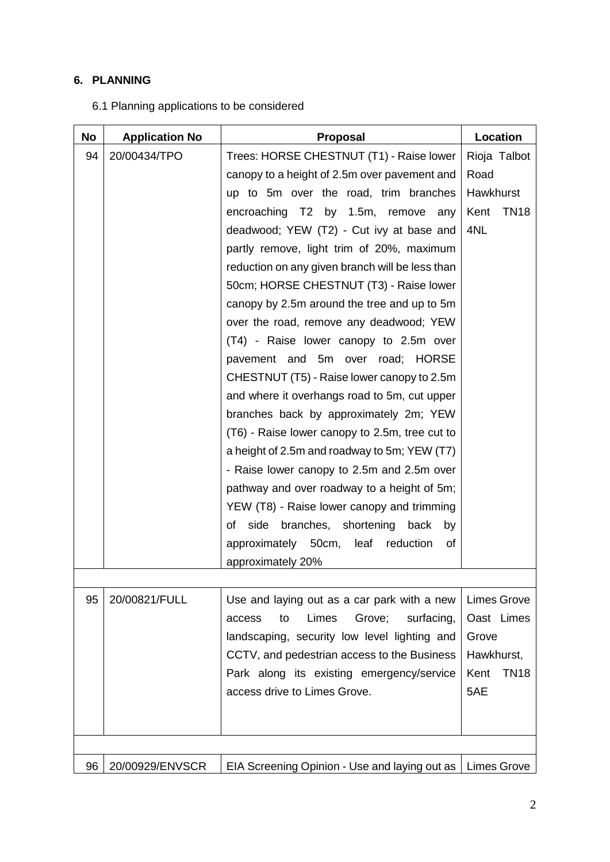### **6. PLANNING**

|  |  | 6.1 Planning applications to be considered |  |  |
|--|--|--------------------------------------------|--|--|
|--|--|--------------------------------------------|--|--|

| No | <b>Application No</b> | <b>Proposal</b>                                             | Location            |
|----|-----------------------|-------------------------------------------------------------|---------------------|
| 94 | 20/00434/TPO          | Trees: HORSE CHESTNUT (T1) - Raise lower                    | Rioja Talbot        |
|    |                       | canopy to a height of 2.5m over pavement and                | Road                |
|    |                       | up to 5m over the road, trim branches                       | Hawkhurst           |
|    |                       | encroaching T2 by 1.5m, remove<br>any                       | <b>TN18</b><br>Kent |
|    |                       | deadwood; YEW (T2) - Cut ivy at base and                    | 4NL                 |
|    |                       | partly remove, light trim of 20%, maximum                   |                     |
|    |                       | reduction on any given branch will be less than             |                     |
|    |                       | 50cm; HORSE CHESTNUT (T3) - Raise lower                     |                     |
|    |                       | canopy by 2.5m around the tree and up to 5m                 |                     |
|    |                       | over the road, remove any deadwood; YEW                     |                     |
|    |                       | (T4) - Raise lower canopy to 2.5m over                      |                     |
|    |                       | pavement and 5m over road; HORSE                            |                     |
|    |                       | CHESTNUT (T5) - Raise lower canopy to 2.5m                  |                     |
|    |                       | and where it overhangs road to 5m, cut upper                |                     |
|    |                       | branches back by approximately 2m; YEW                      |                     |
|    |                       | (T6) - Raise lower canopy to 2.5m, tree cut to              |                     |
|    |                       | a height of 2.5m and roadway to 5m; YEW (T7)                |                     |
|    |                       | - Raise lower canopy to 2.5m and 2.5m over                  |                     |
|    |                       | pathway and over roadway to a height of 5m;                 |                     |
|    |                       | YEW (T8) - Raise lower canopy and trimming                  |                     |
|    |                       | of side branches, shortening<br>back<br>by                  |                     |
|    |                       | approximately 50cm, leaf<br>reduction<br>of                 |                     |
|    |                       | approximately 20%                                           |                     |
|    |                       |                                                             |                     |
| 95 | 20/00821/FULL         | Use and laying out as a car park with a new                 | <b>Limes Grove</b>  |
|    |                       | Limes<br>Grove;<br>surfacing,<br>access<br>to               | Oast Limes          |
|    |                       | landscaping, security low level lighting and                | Grove               |
|    |                       | CCTV, and pedestrian access to the Business                 | Hawkhurst,          |
|    |                       | Park along its existing emergency/service                   | <b>TN18</b><br>Kent |
|    |                       | access drive to Limes Grove.                                | 5AE                 |
|    |                       |                                                             |                     |
|    |                       |                                                             |                     |
|    |                       |                                                             |                     |
| 96 | 20/00929/ENVSCR       | EIA Screening Opinion - Use and laying out as   Limes Grove |                     |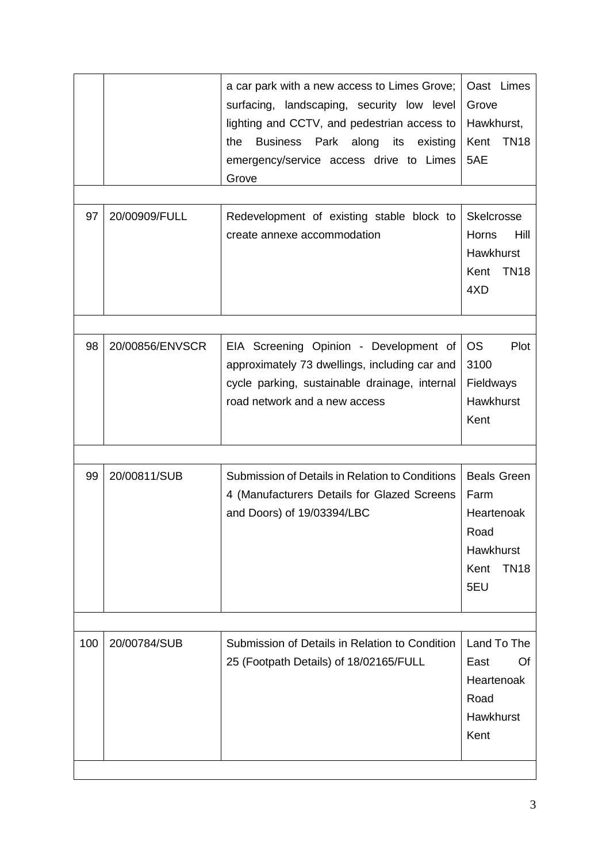|     |                 | a car park with a new access to Limes Grove;<br>surfacing, landscaping, security low level<br>lighting and CCTV, and pedestrian access to<br>Business Park along<br>its<br>the<br>existing<br>emergency/service access drive to Limes<br>Grove | Oast Limes<br>Grove<br>Hawkhurst,<br>Kent<br><b>TN18</b><br>5AE                             |
|-----|-----------------|------------------------------------------------------------------------------------------------------------------------------------------------------------------------------------------------------------------------------------------------|---------------------------------------------------------------------------------------------|
| 97  | 20/00909/FULL   | Redevelopment of existing stable block to<br>create annexe accommodation                                                                                                                                                                       | Skelcrosse<br>Horns<br>Hill<br>Hawkhurst<br><b>TN18</b><br>Kent<br>4XD                      |
| 98  | 20/00856/ENVSCR | EIA Screening Opinion - Development of<br>approximately 73 dwellings, including car and<br>cycle parking, sustainable drainage, internal<br>road network and a new access                                                                      | <b>OS</b><br>Plot<br>3100<br>Fieldways<br>Hawkhurst<br>Kent                                 |
| 99  | 20/00811/SUB    | Submission of Details in Relation to Conditions<br>4 (Manufacturers Details for Glazed Screens<br>and Doors) of 19/03394/LBC                                                                                                                   | <b>Beals Green</b><br>Farm<br>Heartenoak<br>Road<br>Hawkhurst<br><b>TN18</b><br>Kent<br>5EU |
| 100 | 20/00784/SUB    | Submission of Details in Relation to Condition<br>25 (Footpath Details) of 18/02165/FULL                                                                                                                                                       | Land To The<br>East<br>Of<br>Heartenoak<br>Road<br>Hawkhurst<br>Kent                        |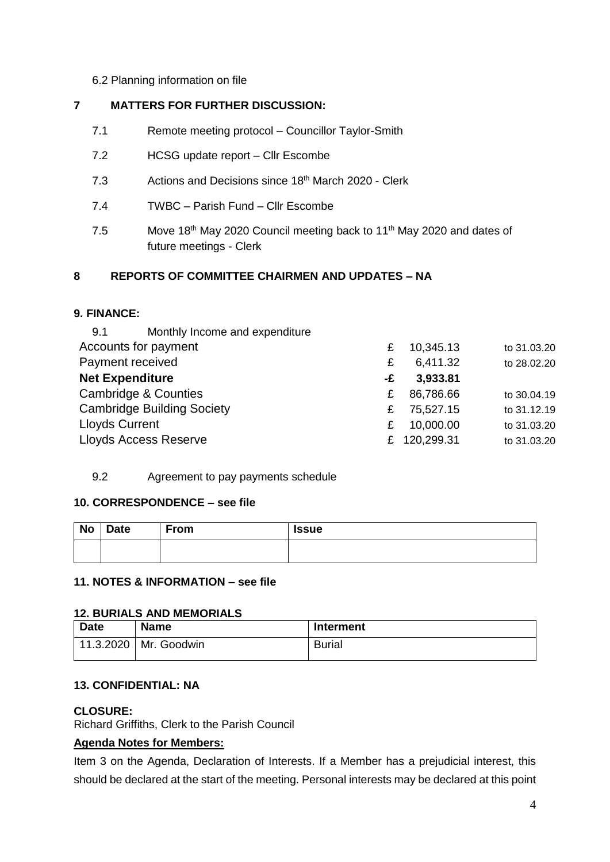#### 6.2 Planning information on file

#### **7 MATTERS FOR FURTHER DISCUSSION:**

- 7.1 Remote meeting protocol Councillor Taylor-Smith
- 7.2 HCSG update report Cllr Escombe
- 7.3 Actions and Decisions since 18<sup>th</sup> March 2020 Clerk
- 7.4 TWBC Parish Fund Cllr Escombe
- 7.5 Move 18<sup>th</sup> May 2020 Council meeting back to 11<sup>th</sup> May 2020 and dates of future meetings - Clerk

#### **8 REPORTS OF COMMITTEE CHAIRMEN AND UPDATES – NA**

#### **9. FINANCE:**

| £  | 10,345.13 | to 31.03.20  |
|----|-----------|--------------|
| £  | 6,411.32  | to 28.02.20  |
| -£ | 3,933.81  |              |
| £  | 86,786.66 | to 30.04.19  |
| £  | 75,527.15 | to 31.12.19  |
| £  | 10,000.00 | to 31.03.20  |
|    |           | to 31.03.20  |
|    |           | £ 120,299.31 |

#### 9.2 Agreement to pay payments schedule

#### **10. CORRESPONDENCE – see file**

| No | <b>Date</b> | From | <b>Issue</b> |
|----|-------------|------|--------------|
|    |             |      |              |

#### **11. NOTES & INFORMATION – see file**

#### **12. BURIALS AND MEMORIALS**

| <b>Date</b> | <b>Name</b> | Interment     |
|-------------|-------------|---------------|
| 11.3.2020   | Mr. Goodwin | <b>Burial</b> |

#### **13. CONFIDENTIAL: NA**

#### **CLOSURE:**

Richard Griffiths, Clerk to the Parish Council

#### **Agenda Notes for Members:**

Item 3 on the Agenda, Declaration of Interests. If a Member has a prejudicial interest, this should be declared at the start of the meeting. Personal interests may be declared at this point